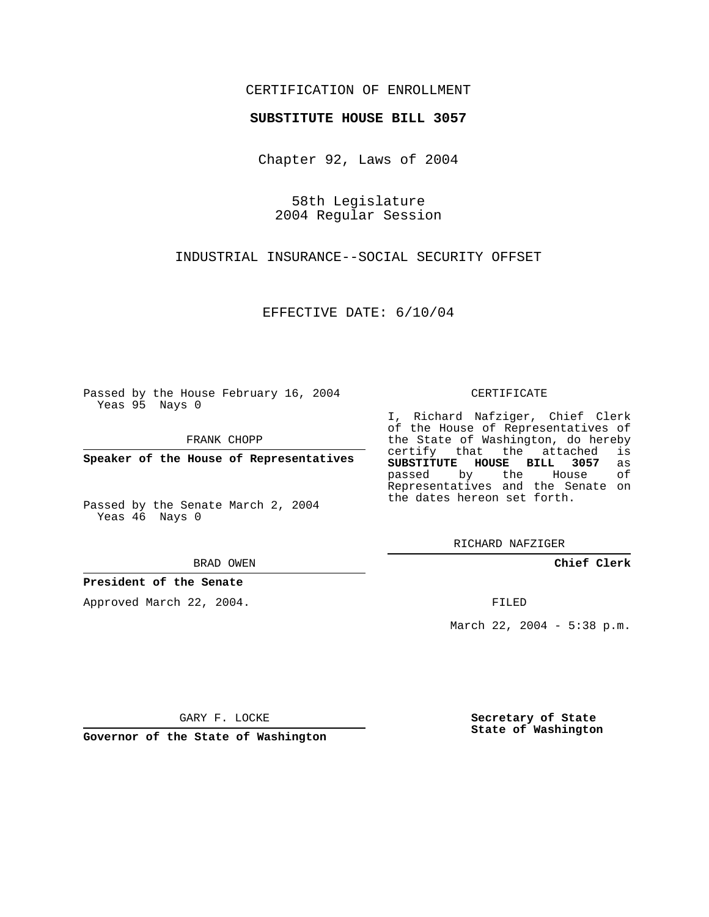### CERTIFICATION OF ENROLLMENT

#### **SUBSTITUTE HOUSE BILL 3057**

Chapter 92, Laws of 2004

58th Legislature 2004 Regular Session

INDUSTRIAL INSURANCE--SOCIAL SECURITY OFFSET

EFFECTIVE DATE: 6/10/04

Passed by the House February 16, 2004 Yeas 95 Nays 0

FRANK CHOPP

**Speaker of the House of Representatives**

Passed by the Senate March 2, 2004 Yeas 46 Nays 0

BRAD OWEN

#### **President of the Senate**

Approved March 22, 2004.

CERTIFICATE

I, Richard Nafziger, Chief Clerk of the House of Representatives of the State of Washington, do hereby<br>certify that the attached is certify that the attached **SUBSTITUTE HOUSE BILL 3057** as passed by the House Representatives and the Senate on the dates hereon set forth.

RICHARD NAFZIGER

**Chief Clerk**

FILED

March 22, 2004 - 5:38 p.m.

GARY F. LOCKE

**Governor of the State of Washington**

**Secretary of State State of Washington**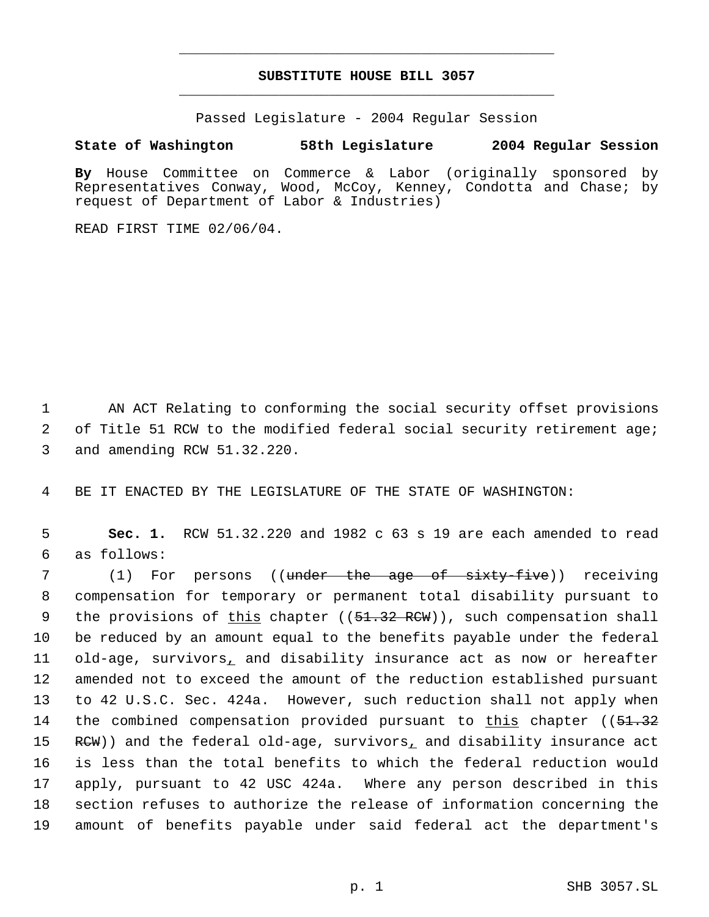# **SUBSTITUTE HOUSE BILL 3057** \_\_\_\_\_\_\_\_\_\_\_\_\_\_\_\_\_\_\_\_\_\_\_\_\_\_\_\_\_\_\_\_\_\_\_\_\_\_\_\_\_\_\_\_\_

\_\_\_\_\_\_\_\_\_\_\_\_\_\_\_\_\_\_\_\_\_\_\_\_\_\_\_\_\_\_\_\_\_\_\_\_\_\_\_\_\_\_\_\_\_

Passed Legislature - 2004 Regular Session

## **State of Washington 58th Legislature 2004 Regular Session**

**By** House Committee on Commerce & Labor (originally sponsored by Representatives Conway, Wood, McCoy, Kenney, Condotta and Chase; by request of Department of Labor & Industries)

READ FIRST TIME 02/06/04.

 1 AN ACT Relating to conforming the social security offset provisions 2 of Title 51 RCW to the modified federal social security retirement age; 3 and amending RCW 51.32.220.

4 BE IT ENACTED BY THE LEGISLATURE OF THE STATE OF WASHINGTON:

 5 **Sec. 1.** RCW 51.32.220 and 1982 c 63 s 19 are each amended to read 6 as follows:

7 (1) For persons ((<del>under the age of sixty-five</del>)) receiving compensation for temporary or permanent total disability pursuant to 9 the provisions of this chapter ((51.32 RCW)), such compensation shall be reduced by an amount equal to the benefits payable under the federal 11 old-age, survivors, and disability insurance act as now or hereafter amended not to exceed the amount of the reduction established pursuant to 42 U.S.C. Sec. 424a. However, such reduction shall not apply when 14 the combined compensation provided pursuant to this chapter ((51.32)  $RCW$ )) and the federal old-age, survivors, and disability insurance act is less than the total benefits to which the federal reduction would apply, pursuant to 42 USC 424a. Where any person described in this section refuses to authorize the release of information concerning the amount of benefits payable under said federal act the department's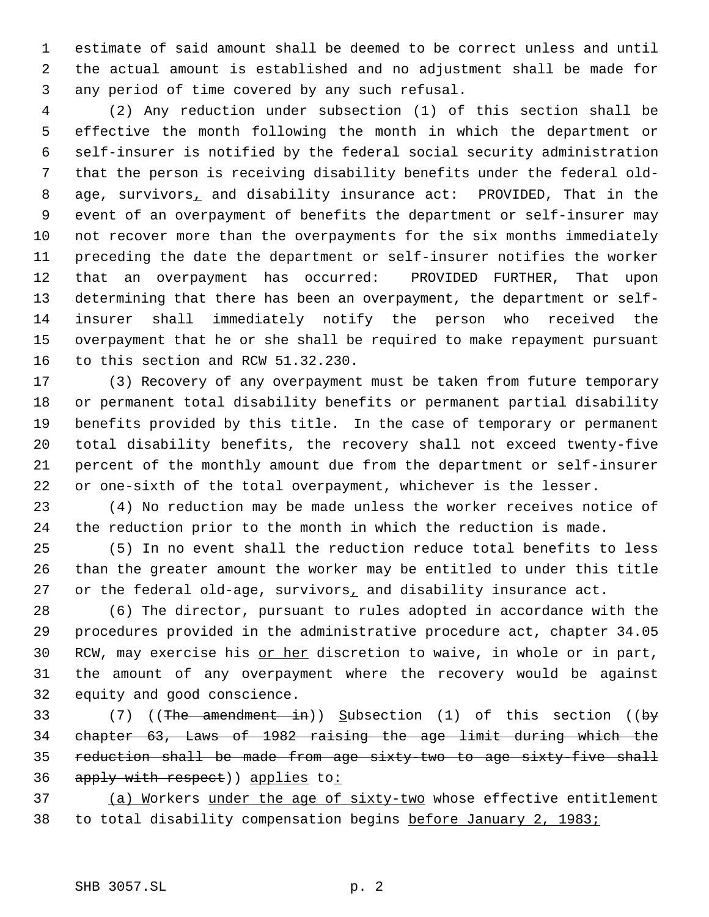estimate of said amount shall be deemed to be correct unless and until the actual amount is established and no adjustment shall be made for any period of time covered by any such refusal.

 (2) Any reduction under subsection (1) of this section shall be effective the month following the month in which the department or self-insurer is notified by the federal social security administration that the person is receiving disability benefits under the federal old- 8 age, survivors, and disability insurance act: PROVIDED, That in the event of an overpayment of benefits the department or self-insurer may not recover more than the overpayments for the six months immediately preceding the date the department or self-insurer notifies the worker that an overpayment has occurred: PROVIDED FURTHER, That upon determining that there has been an overpayment, the department or self- insurer shall immediately notify the person who received the overpayment that he or she shall be required to make repayment pursuant to this section and RCW 51.32.230.

 (3) Recovery of any overpayment must be taken from future temporary or permanent total disability benefits or permanent partial disability benefits provided by this title. In the case of temporary or permanent total disability benefits, the recovery shall not exceed twenty-five percent of the monthly amount due from the department or self-insurer or one-sixth of the total overpayment, whichever is the lesser.

 (4) No reduction may be made unless the worker receives notice of the reduction prior to the month in which the reduction is made.

 (5) In no event shall the reduction reduce total benefits to less than the greater amount the worker may be entitled to under this title 27 or the federal old-age, survivors, and disability insurance act.

 (6) The director, pursuant to rules adopted in accordance with the procedures provided in the administrative procedure act, chapter 34.05 30 RCW, may exercise his or her discretion to waive, in whole or in part, the amount of any overpayment where the recovery would be against equity and good conscience.

33 (7) ((The amendment in)) Subsection (1) of this section ((by chapter 63, Laws of 1982 raising the age limit during which the reduction shall be made from age sixty-two to age sixty-five shall 36 apply with respect) applies to:

37 (a) Workers under the age of sixty-two whose effective entitlement to total disability compensation begins before January 2, 1983;